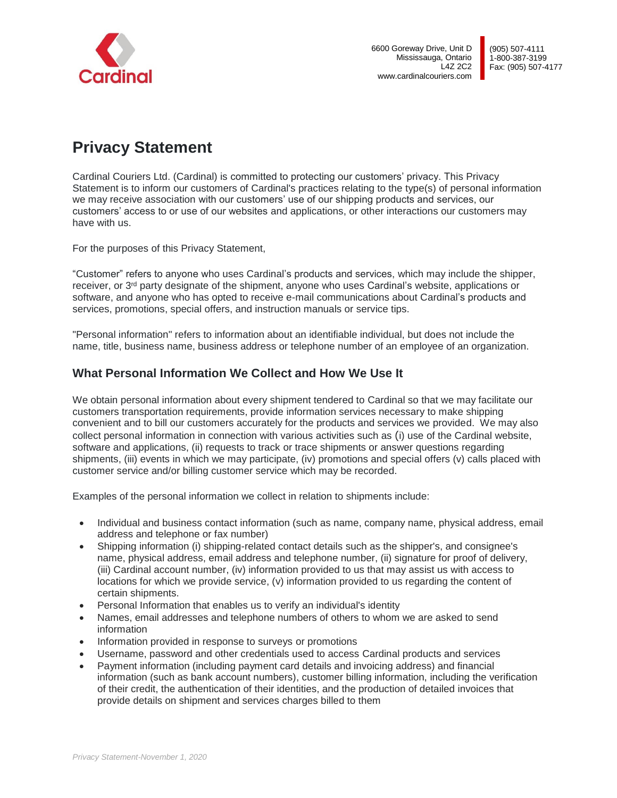

# **Privacy Statement**

Cardinal Couriers Ltd. (Cardinal) is committed to protecting our customers' privacy. This Privacy Statement is to inform our customers of Cardinal's practices relating to the type(s) of personal information we may receive association with our customers' use of our shipping products and services, our customers' access to or use of our websites and applications, or other interactions our customers may have with us.

For the purposes of this Privacy Statement,

"Customer" refers to anyone who uses Cardinal's products and services, which may include the shipper, receiver, or 3<sup>rd</sup> party designate of the shipment, anyone who uses Cardinal's website, applications or software, and anyone who has opted to receive e-mail communications about Cardinal's products and services, promotions, special offers, and instruction manuals or service tips.

"Personal information" refers to information about an identifiable individual, but does not include the name, title, business name, business address or telephone number of an employee of an organization.

## **What Personal Information We Collect and How We Use It**

We obtain personal information about every shipment tendered to Cardinal so that we may facilitate our customers transportation requirements, provide information services necessary to make shipping convenient and to bill our customers accurately for the products and services we provided. We may also collect personal information in connection with various activities such as (i) use of the Cardinal website, software and applications, (ii) requests to track or trace shipments or answer questions regarding shipments, (iii) events in which we may participate, (iv) promotions and special offers (v) calls placed with customer service and/or billing customer service which may be recorded.

Examples of the personal information we collect in relation to shipments include:

- Individual and business contact information (such as name, company name, physical address, email address and telephone or fax number)
- Shipping information (i) shipping-related contact details such as the shipper's, and consignee's name, physical address, email address and telephone number, (ii) signature for proof of delivery, (iii) Cardinal account number, (iv) information provided to us that may assist us with access to locations for which we provide service, (v) information provided to us regarding the content of certain shipments.
- Personal Information that enables us to verify an individual's identity
- Names, email addresses and telephone numbers of others to whom we are asked to send information
- Information provided in response to surveys or promotions
- Username, password and other credentials used to access Cardinal products and services
- Payment information (including payment card details and invoicing address) and financial information (such as bank account numbers), customer billing information, including the verification of their credit, the authentication of their identities, and the production of detailed invoices that provide details on shipment and services charges billed to them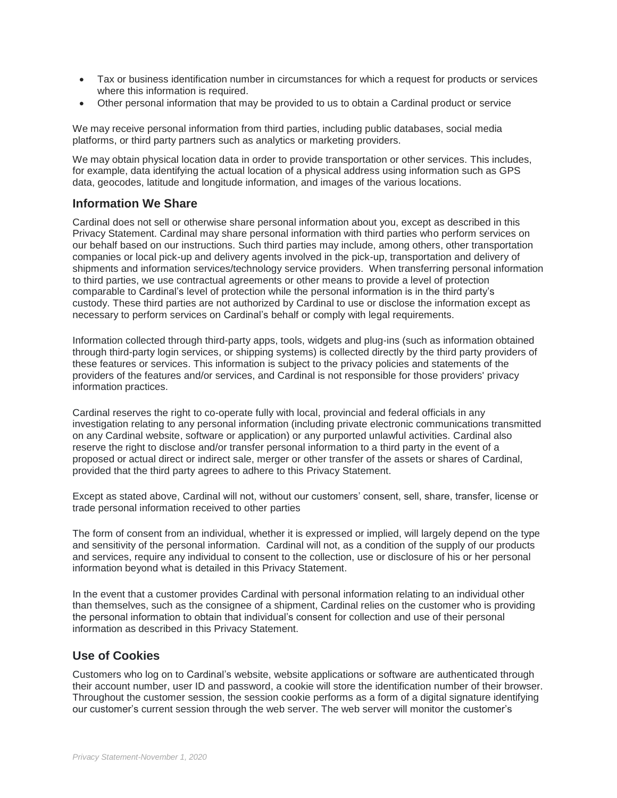- Tax or business identification number in circumstances for which a request for products or services where this information is required.
- Other personal information that may be provided to us to obtain a Cardinal product or service

We may receive personal information from third parties, including public databases, social media platforms, or third party partners such as analytics or marketing providers.

We may obtain physical location data in order to provide transportation or other services. This includes, for example, data identifying the actual location of a physical address using information such as GPS data, geocodes, latitude and longitude information, and images of the various locations.

#### **Information We Share**

Cardinal does not sell or otherwise share personal information about you, except as described in this Privacy Statement. Cardinal may share personal information with third parties who perform services on our behalf based on our instructions. Such third parties may include, among others, other transportation companies or local pick-up and delivery agents involved in the pick-up, transportation and delivery of shipments and information services/technology service providers. When transferring personal information to third parties, we use contractual agreements or other means to provide a level of protection comparable to Cardinal's level of protection while the personal information is in the third party's custody. These third parties are not authorized by Cardinal to use or disclose the information except as necessary to perform services on Cardinal's behalf or comply with legal requirements.

Information collected through third-party apps, tools, widgets and plug-ins (such as information obtained through third-party login services, or shipping systems) is collected directly by the third party providers of these features or services. This information is subject to the privacy policies and statements of the providers of the features and/or services, and Cardinal is not responsible for those providers' privacy information practices.

Cardinal reserves the right to co-operate fully with local, provincial and federal officials in any investigation relating to any personal information (including private electronic communications transmitted on any Cardinal website, software or application) or any purported unlawful activities. Cardinal also reserve the right to disclose and/or transfer personal information to a third party in the event of a proposed or actual direct or indirect sale, merger or other transfer of the assets or shares of Cardinal, provided that the third party agrees to adhere to this Privacy Statement.

Except as stated above, Cardinal will not, without our customers' consent, sell, share, transfer, license or trade personal information received to other parties

The form of consent from an individual, whether it is expressed or implied, will largely depend on the type and sensitivity of the personal information. Cardinal will not, as a condition of the supply of our products and services, require any individual to consent to the collection, use or disclosure of his or her personal information beyond what is detailed in this Privacy Statement.

In the event that a customer provides Cardinal with personal information relating to an individual other than themselves, such as the consignee of a shipment, Cardinal relies on the customer who is providing the personal information to obtain that individual's consent for collection and use of their personal information as described in this Privacy Statement.

### **Use of Cookies**

Customers who log on to Cardinal's website, website applications or software are authenticated through their account number, user ID and password, a cookie will store the identification number of their browser. Throughout the customer session, the session cookie performs as a form of a digital signature identifying our customer's current session through the web server. The web server will monitor the customer's